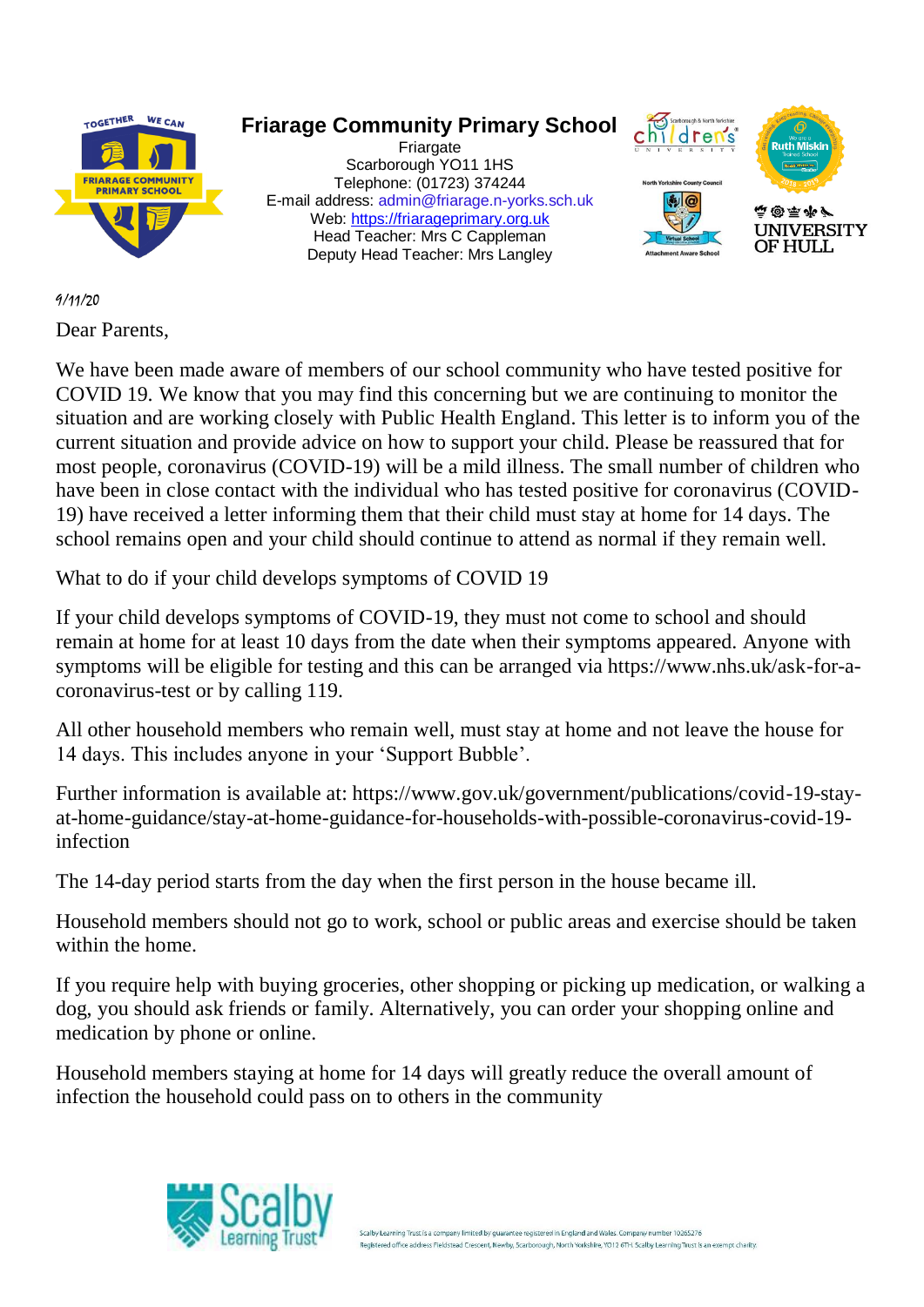

## 9/11/20

Dear Parents,

We have been made aware of members of our school community who have tested positive for COVID 19. We know that you may find this concerning but we are continuing to monitor the situation and are working closely with Public Health England. This letter is to inform you of the current situation and provide advice on how to support your child. Please be reassured that for most people, coronavirus (COVID-19) will be a mild illness. The small number of children who have been in close contact with the individual who has tested positive for coronavirus (COVID-19) have received a letter informing them that their child must stay at home for 14 days. The school remains open and your child should continue to attend as normal if they remain well.

What to do if your child develops symptoms of COVID 19

If your child develops symptoms of COVID-19, they must not come to school and should remain at home for at least 10 days from the date when their symptoms appeared. Anyone with symptoms will be eligible for testing and this can be arranged via https://www.nhs.uk/ask-for-acoronavirus-test or by calling 119.

All other household members who remain well, must stay at home and not leave the house for 14 days. This includes anyone in your 'Support Bubble'.

Further information is available at: https://www.gov.uk/government/publications/covid-19-stayat-home-guidance/stay-at-home-guidance-for-households-with-possible-coronavirus-covid-19 infection

The 14-day period starts from the day when the first person in the house became ill.

Household members should not go to work, school or public areas and exercise should be taken within the home.

If you require help with buying groceries, other shopping or picking up medication, or walking a dog, you should ask friends or family. Alternatively, you can order your shopping online and medication by phone or online.

Household members staying at home for 14 days will greatly reduce the overall amount of infection the household could pass on to others in the community